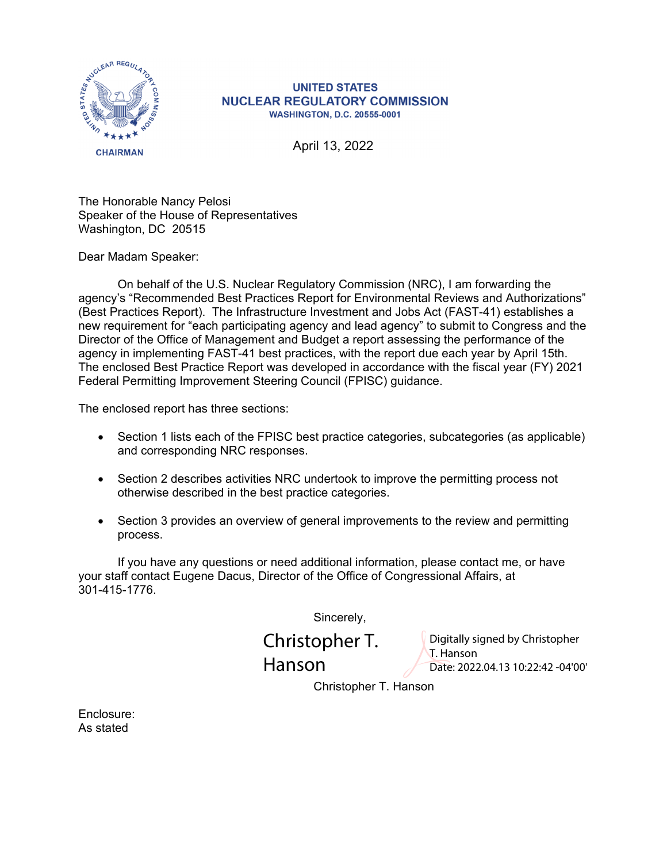

## **UNITED STATES NUCLEAR REGULATORY COMMISSION WASHINGTON, D.C. 20555-0001**

April 13, 2022

The Honorable Nancy Pelosi Speaker of the House of Representatives Washington, DC 20515

Dear Madam Speaker:

On behalf of the U.S. Nuclear Regulatory Commission (NRC), I am forwarding the agency's "Recommended Best Practices Report for Environmental Reviews and Authorizations" (Best Practices Report). The Infrastructure Investment and Jobs Act (FAST-41) establishes a new requirement for "each participating agency and lead agency" to submit to Congress and the Director of the Office of Management and Budget a report assessing the performance of the agency in implementing FAST-41 best practices, with the report due each year by April 15th. The enclosed Best Practice Report was developed in accordance with the fiscal year (FY) 2021 Federal Permitting Improvement Steering Council (FPISC) guidance.

The enclosed report has three sections:

- Section 1 lists each of the FPISC best practice categories, subcategories (as applicable) and corresponding NRC responses.
- Section 2 describes activities NRC undertook to improve the permitting process not otherwise described in the best practice categories.
- Section 3 provides an overview of general improvements to the review and permitting process.

If you have any questions or need additional information, please contact me, or have your staff contact Eugene Dacus, Director of the Office of Congressional Affairs, at 301-415-1776.

Sincerely,

Christopher T. Hanson

Digitally signed by Christopher T. Hanson Date: 2022.04.13 10:22:42 -04'00'

Christopher T. Hanson

Enclosure: As stated